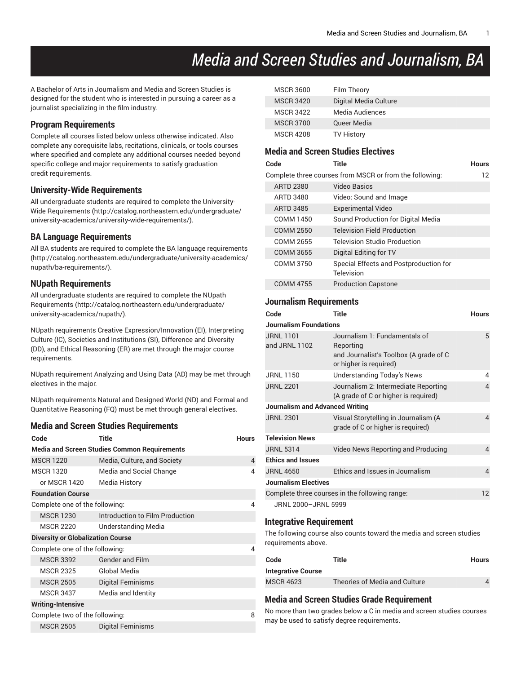# *Media and Screen Studies and Journalism, BA*

A Bachelor of Arts in Journalism and Media and Screen Studies is designed for the student who is interested in pursuing a career as a journalist specializing in the film industry.

#### **Program Requirements**

Complete all courses listed below unless otherwise indicated. Also complete any corequisite labs, recitations, clinicals, or tools courses where specified and complete any additional courses needed beyond specific college and major requirements to satisfy graduation credit requirements.

#### **University-Wide Requirements**

All undergraduate students are required to complete the [University-](http://catalog.northeastern.edu/undergraduate/university-academics/university-wide-requirements/)Wide [Requirements](http://catalog.northeastern.edu/undergraduate/university-academics/university-wide-requirements/) ([http://catalog.northeastern.edu/undergraduate/](http://catalog.northeastern.edu/undergraduate/university-academics/university-wide-requirements/) [university-academics/university-wide-requirements/\)](http://catalog.northeastern.edu/undergraduate/university-academics/university-wide-requirements/).

#### **BA Language Requirements**

All BA students are required to complete the BA language [requirements](http://catalog.northeastern.edu/undergraduate/university-academics/nupath/ba-requirements/) ([http://catalog.northeastern.edu/undergraduate/university-academics/](http://catalog.northeastern.edu/undergraduate/university-academics/nupath/ba-requirements/) [nupath/ba-requirements/\)](http://catalog.northeastern.edu/undergraduate/university-academics/nupath/ba-requirements/).

#### **NUpath Requirements**

All undergraduate students are required to complete the [NUpath](http://catalog.northeastern.edu/undergraduate/university-academics/nupath/) [Requirements](http://catalog.northeastern.edu/undergraduate/university-academics/nupath/) ([http://catalog.northeastern.edu/undergraduate/](http://catalog.northeastern.edu/undergraduate/university-academics/nupath/) [university-academics/nupath/](http://catalog.northeastern.edu/undergraduate/university-academics/nupath/)).

NUpath requirements Creative Expression/Innovation (EI), Interpreting Culture (IC), Societies and Institutions (SI), Difference and Diversity (DD), and Ethical Reasoning (ER) are met through the major course requirements.

NUpath requirement Analyzing and Using Data (AD) may be met through electives in the major.

NUpath requirements Natural and Designed World (ND) and Formal and Quantitative Reasoning (FQ) must be met through general electives.

#### **Media and Screen Studies Requirements**

| <b>Title</b><br>Code                                |                         | <b>Hours</b> |  |  |
|-----------------------------------------------------|-------------------------|--------------|--|--|
| <b>Media and Screen Studies Common Requirements</b> |                         |              |  |  |
| Media, Culture, and Society<br><b>MSCR 1220</b>     |                         |              |  |  |
| <b>MSCR 1320</b>                                    | Media and Social Change | 4            |  |  |
| or MSCR 1420                                        | Media History           |              |  |  |
| <b>Foundation Course</b>                            |                         |              |  |  |
| Complete one of the following:                      |                         |              |  |  |
| Introduction to Film Production<br><b>MSCR 1230</b> |                         |              |  |  |
| <b>MSCR 2220</b>                                    | Understanding Media     |              |  |  |
| <b>Diversity or Globalization Course</b>            |                         |              |  |  |
| Complete one of the following:                      |                         |              |  |  |
| <b>Gender and Film</b><br><b>MSCR 3392</b>          |                         |              |  |  |
| <b>MSCR 2325</b>                                    | Global Media            |              |  |  |
| <b>MSCR 2505</b>                                    | Digital Feminisms       |              |  |  |
| <b>MSCR 3437</b>                                    | Media and Identity      |              |  |  |
| <b>Writing-Intensive</b>                            |                         |              |  |  |
| Complete two of the following:                      |                         |              |  |  |
| <b>Digital Feminisms</b><br><b>MSCR 2505</b>        |                         |              |  |  |

| <b>MSCR 3600</b> | Film Theory           |
|------------------|-----------------------|
| <b>MSCR 3420</b> | Digital Media Culture |
| <b>MSCR 3422</b> | Media Audiences       |
| <b>MSCR 3700</b> | Queer Media           |
| <b>MSCR 4208</b> | <b>TV History</b>     |

### **Media and Screen Studies Electives**

| Code             | Title                                                   | <b>Hours</b> |
|------------------|---------------------------------------------------------|--------------|
|                  | Complete three courses from MSCR or from the following: | 12           |
| <b>ARTD 2380</b> | Video Basics                                            |              |
| <b>ARTD 3480</b> | Video: Sound and Image                                  |              |
| <b>ARTD 3485</b> | <b>Experimental Video</b>                               |              |
| COMM 1450        | Sound Production for Digital Media                      |              |
| <b>COMM 2550</b> | <b>Television Field Production</b>                      |              |
| COMM 2655        | <b>Television Studio Production</b>                     |              |
| <b>COMM 3655</b> | Digital Editing for TV                                  |              |
| COMM 3750        | Special Effects and Postproduction for<br>Television    |              |
| COMM 4755        | <b>Production Capstone</b>                              |              |

#### **Journalism Requirements**

| Code                                           | <b>Title</b>                                                                                                   | <b>Hours</b>             |  |  |
|------------------------------------------------|----------------------------------------------------------------------------------------------------------------|--------------------------|--|--|
|                                                | <b>Journalism Foundations</b>                                                                                  |                          |  |  |
| <b>JRNL1101</b><br>and JRNL 1102               | Journalism 1: Fundamentals of<br>Reporting<br>and Journalist's Toolbox (A grade of C<br>or higher is required) | 5                        |  |  |
| <b>JRNL 1150</b>                               | Understanding Today's News                                                                                     | 4                        |  |  |
| <b>JRNL 2201</b>                               | Journalism 2: Intermediate Reporting<br>(A grade of C or higher is required)                                   | $\overline{\mathcal{A}}$ |  |  |
| <b>Journalism and Advanced Writing</b>         |                                                                                                                |                          |  |  |
| <b>JRNL 2301</b>                               | Visual Storytelling in Journalism (A<br>grade of C or higher is required)                                      | 4                        |  |  |
| <b>Television News</b>                         |                                                                                                                |                          |  |  |
| <b>JRNL 5314</b>                               | Video News Reporting and Producing                                                                             | $\overline{\mathcal{A}}$ |  |  |
| <b>Ethics and Issues</b>                       |                                                                                                                |                          |  |  |
| <b>JRNL 4650</b>                               | Ethics and Issues in Journalism                                                                                | 4                        |  |  |
| <b>Journalism Electives</b>                    |                                                                                                                |                          |  |  |
| Complete three courses in the following range: |                                                                                                                |                          |  |  |
| JRNL 2000-JRNL 5999                            |                                                                                                                |                          |  |  |

#### **Integrative Requirement**

The following course also counts toward the media and screen studies requirements above.

| Code               | Title                         | <b>Hours</b> |
|--------------------|-------------------------------|--------------|
| Integrative Course |                               |              |
| <b>MSCR 4623</b>   | Theories of Media and Culture | 4            |

#### **Media and Screen Studies Grade Requirement**

No more than two grades below a C in media and screen studies courses may be used to satisfy degree requirements.